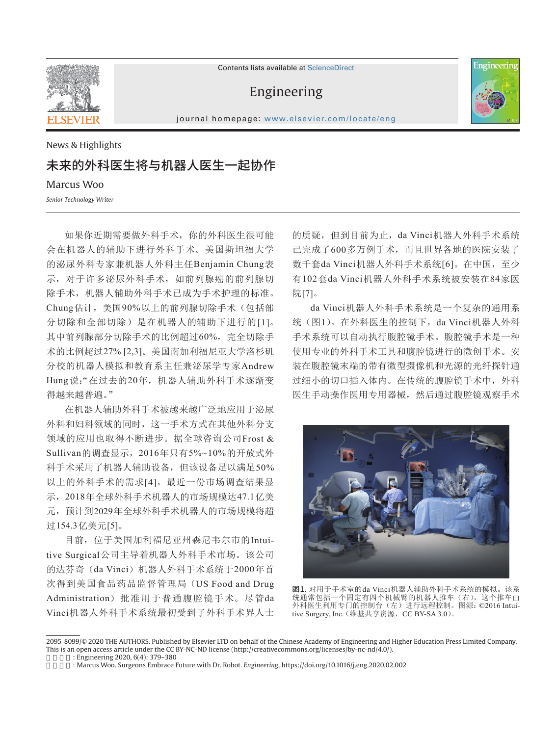

Contents lists available at ScienceDirect

## Engineering



journal homepage: www.elsevier.com/locate/eng

News & Highlights

## 未来的外科医生将与机器人医生一起协作

Marcus Woo

*Senior Technology Writer*

如果你近期需要做外科手术,你的外科医生很可能 会在机器人的辅助下进行外科手术。美国斯坦福大学 的泌尿外科专家兼机器人外科主任Benjamin Chung表 示,对于许多泌尿外科手术,如前列腺癌的前列腺切 除手术,机器人辅助外科手术已成为手术护理的标准。 Chung估计,美国90%以上的前列腺切除手术(包括部 分切除和全部切除)是在机器人的辅助下进行的[1]。 其中前列腺部分切除手术的比例超过60%,完全切除手 术的比例超过27% [2,3]。美国南加利福尼亚大学洛杉矶 分校的机器人模拟和教育系主任兼泌尿学专家Andrew Hung说:"在过去的20年,机器人辅助外科手术逐渐变 得越来越普遍。"

在机器人辅助外科手术被越来越广泛地应用于泌尿 外科和妇科领域的同时,这一手术方式在其他外科分支 领域的应用也取得不断进步。据全球咨询公司Frost & Sullivan的调查显示,2016年只有5%~10%的开放式外 科手术采用了机器人辅助设备,但该设备足以满足50% 以上的外科手术的需求[4]。最近一份市场调查结果显 示,2018年全球外科手术机器人的市场规模达47.1亿美 元,预计到2029年全球外科手术机器人的市场规模将超 过154.3亿美元[5]。

目前,位于美国加利福尼亚州森尼韦尔市的Intuitive Surgical公司主导着机器人外科手术市场。该公司 的达芬奇(da Vinci)机器人外科手术系统于2000年首 次得到美国食品药品监督管理局(US Food and Drug Administration)批准用于普通腹腔镜手术。尽管da Vinci机器人外科手术系统最初受到了外科手术界人士

的质疑,但到目前为止,da Vinci机器人外科手术系统 已完成了600多万例手术,而且世界各地的医院安装了 数千套da Vinci机器人外科手术系统[6]。在中国,至少 有102套da Vinci机器人外科手术系统被安装在84家医 院[7]。

da Vinci机器人外科手术系统是一个复杂的通用系 统(图1)。在外科医生的控制下,da Vinci机器人外科 手术系统可以自动执行腹腔镜手术。腹腔镜手术是一种 使用专业的外科手术工具和腹腔镜进行的微创手术。安 装在腹腔镜末端的带有微型摄像机和光源的光纤探针通 过细小的切口插入体内。在传统的腹腔镜手术中,外科 医生手动操作医用专用器械,然后通过腹腔镜观察手术



图1. 对用于手术室的da Vinci机器人辅助外科手术系统的模拟。该系 统通常包括一个固定有四个机械臂的机器人推车(右),这个推车由 外科医生利用专门的控制台(左)进行远程控制。图源:©2016 Intuitive Surgery, Inc. (维基共享资源,CC BY-SA 3.0)。

<sup>2095-8099/© 2020</sup> THE AUTHORS. Published by Elsevier LTD on behalf of the Chinese Academy of Engineering and Higher Education Press Limited Company. This is an open access article under the CC BY-NC-ND license (http://creativecommons.org/licenses/by-nc-nd/4.0/).

<sup>:</sup> Engineering 2020, 6(4): 379-380

引用本文: Marcus Woo. Surgeons Embrace Future with Dr. Robot. *Engineering*, https://doi.org/10.1016/j.eng.2020.02.002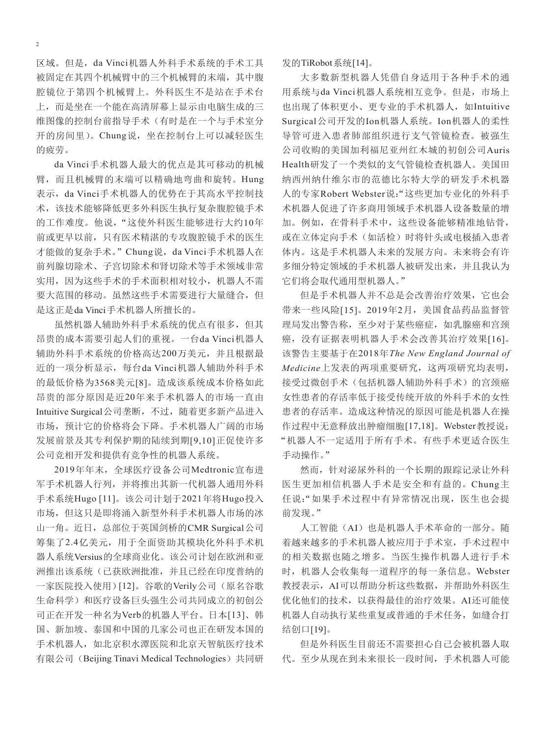区域。但是,da Vinci机器人外科手术系统的手术工具 被固定在其四个机械臂中的三个机械臂的末端,其中腹 腔镜位于第四个机械臂上。外科医生不是站在手术台 上,而是坐在一个能在高清屏幕上显示由电脑生成的三 维图像的控制台前指导手术(有时是在一个与手术室分 开的房间里)。Chung说,坐在控制台上可以减轻医生 的疲劳。

da Vinci手术机器人最大的优点是其可移动的机械 臂,而且机械臂的末端可以精确地弯曲和旋转。Hung 表示,da Vinci手术机器人的优势在于其高水平控制技 术,该技术能够降低更多外科医生执行复杂腹腔镜手术 的工作难度。他说,"这使外科医生能够进行大约10年 前或更早以前,只有医术精湛的专攻腹腔镜手术的医生 才能做的复杂手术。"Chung说,da Vinci手术机器人在 前列腺切除术、子宫切除术和肾切除术等手术领域非常 实用,因为这些手术的手术面积相对较小,机器人不需 要大范围的移动。虽然这些手术需要进行大量缝合,但 是这正是da Vinci手术机器人所擅长的。

虽然机器人辅助外科手术系统的优点有很多,但其 昂贵的成本需要引起人们的重视。一台da Vinci机器人 辅助外科手术系统的价格高达200万美元,并且根据最 近的一项分析显示,每台da Vinci机器人辅助外科手术 的最低价格为3568美元[8]。造成该系统成本价格如此 昂贵的部分原因是近20年来手术机器人的市场一直由 Intuitive Surgical公司垄断,不过,随着更多新产品进入 市场,预计它的价格将会下降。手术机器人广阔的市场 发展前景及其专利保护期的陆续到期[9,10]正促使许多 公司竞相开发和提供有竞争性的机器人系统。

2019年年末,全球医疗设备公司Medtronic宣布进 军手术机器人行列,并将推出其新一代机器人通用外科 手术系统Hugo [11]。该公司计划于2021年将Hugo投入 市场,但这只是即将涌入新型外科手术机器人市场的冰 山一角。近日,总部位于英国剑桥的CMR Surgical公司 筹集了2.4亿美元,用于全面资助其模块化外科手术机 器人系统Versius的全球商业化。该公司计划在欧洲和亚 洲推出该系统(已获欧洲批准,并且已经在印度普纳的 一家医院投入使用)[12]。谷歌的Verily公司(原名谷歌 生命科学)和医疗设备巨头强生公司共同成立的初创公 司正在开发一种名为Verb的机器人平台。日本[13]、韩 国、新加坡、泰国和中国的几家公司也正在研发本国的 手术机器人,如北京积水潭医院和北京天智航医疗技术 有限公司 (Beijing Tinavi Medical Technologies) 共同研 发的TiRobot系统[14]。

大多数新型机器人凭借自身适用于各种手术的通 用系统与da Vinci机器人系统相互竞争。但是,市场上 也出现了体积更小、更专业的手术机器人,如Intuitive Surgical公司开发的Ion机器人系统。Ion机器人的柔性 导管可进入患者肺部组织进行支气管镜检查。被强生 公司收购的美国加利福尼亚州红木城的初创公司Auris Health研发了一个类似的支气管镜检查机器人。美国田 纳西州纳什维尔市的范德比尔特大学的研发手术机器 人的专家Robert Webster说:"这些更加专业化的外科手 术机器人促进了许多商用领域手术机器人设备数量的增 加。例如,在骨科手术中,这些设备能够精准地钻骨, 或在立体定向手术(如活检)时将针头或电极插入患者 体内。这是手术机器人未来的发展方向。未来将会有许 多细分特定领域的手术机器人被研发出来,并且我认为 它们将会取代通用型机器人。"

但是手术机器人并不总是会改善治疗效果,它也会 带来一些风险[15]。2019年2月,美国食品药品监督管 理局发出警告称,至少对于某些癌症,如乳腺癌和宫颈 癌,没有证据表明机器人手术会改善其治疗效果[16]。 该警告主要基于在2018年*The New England Journal of Medicine*上发表的两项重要研究,这两项研究均表明, 接受过微创手术(包括机器人辅助外科手术)的宫颈癌 女性患者的存活率低于接受传统开放的外科手术的女性 患者的存活率。造成这种情况的原因可能是机器人在操 作过程中无意释放出肿瘤细胞[17,18]。Webster教授说: "机器人不一定适用于所有手术。有些手术更适合医生 手动操作。"

然而,针对泌尿外科的一个长期的跟踪记录让外科 医生更加相信机器人手术是安全和有益的。Chung主 任说:"如果手术过程中有异常情况出现,医生也会提 前发现。"

人工智能(AI)也是机器人手术革命的一部分。随 着越来越多的手术机器人被应用于手术室,手术过程中 的相关数据也随之增多。当医生操作机器人进行手术 时,机器人会收集每一道程序的每一条信息。Webster 教授表示,AI可以帮助分析这些数据,并帮助外科医生 优化他们的技术,以获得最佳的治疗效果。AI还可能使 机器人自动执行某些重复或普通的手术任务,如缝合打 结创口[19]。

但是外科医生目前还不需要担心自己会被机器人取 代。至少从现在到未来很长一段时间,手术机器人可能